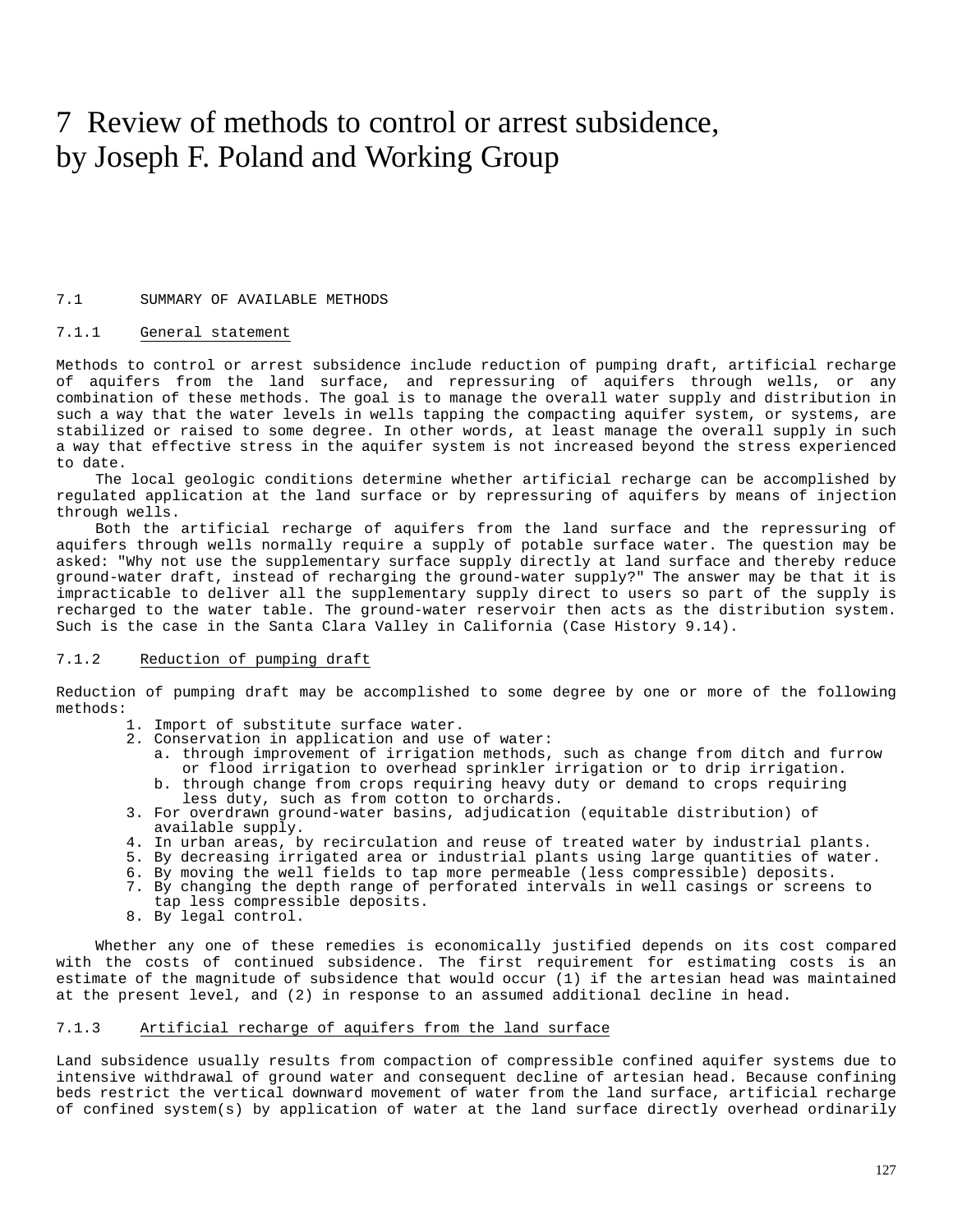# 7 Review of methods to control or arrest subsidence, by Joseph F. Poland and Working Group

#### 7.1 SUMMARY OF AVAILABLE METHODS

## 7.1.1 General statement

Methods to control or arrest subsidence include reduction of pumping draft, artificial recharge of aquifers from the land surface, and repressuring of aquifers through wells, or any combination of these methods. The goal is to manage the overall water supply and distribution in such a way that the water levels in wells tapping the compacting aquifer system, or systems, are stabilized or raised to some degree. In other words, at least manage the overall supply in such a way that effective stress in the aquifer system is not increased beyond the stress experienced to date.

The local geologic conditions determine whether artificial recharge can be accomplished by regulated application at the land surface or by repressuring of aquifers by means of injection through wells.

Both the artificial recharge of aquifers from the land surface and the repressuring of aquifers through wells normally require a supply of potable surface water. The question may be asked: "Why not use the supplementary surface supply directly at land surface and thereby reduce ground-water draft, instead of recharging the ground-water supply?" The answer may be that it is impracticable to deliver all the supplementary supply direct to users so part of the supply is recharged to the water table. The ground-water reservoir then acts as the distribution system. Such is the case in the Santa Clara Valley in California (Case History 9.14).

#### 7.1.2 Reduction of pumping draft

Reduction of pumping draft may be accomplished to some degree by one or more of the following methods:

- 1. Import of substitute surface water.
- 2. Conservation in application and use of water:
	- a. through improvement of irrigation methods, such as change from ditch and furrow or flood irrigation to overhead sprinkler irrigation or to drip irrigation. b. through change from crops requiring heavy duty or demand to crops requiring
- less duty, such as from cotton to orchards. 3. For overdrawn ground-water basins, adjudication (equitable distribution) of
- available supply.
- 4. In urban areas, by recirculation and reuse of treated water by industrial plants.
- 5. By decreasing irrigated area or industrial plants using large quantities of water.
- 6. By moving the well fields to tap more permeable (less compressible) deposits.
- 7. By changing the depth range of perforated intervals in well casings or screens to
- tap less compressible deposits.
- 8. By legal control.

Whether any one of these remedies is economically justified depends on its cost compared with the costs of continued subsidence. The first requirement for estimating costs is an estimate of the magnitude of subsidence that would occur (1) if the artesian head was maintained at the present level, and (2) in response to an assumed additional decline in head.

## 7.1.3 Artificial recharge of aquifers from the land surface

Land subsidence usually results from compaction of compressible confined aquifer systems due to intensive withdrawal of ground water and consequent decline of artesian head. Because confining beds restrict the vertical downward movement of water from the land surface, artificial recharge of confined system(s) by application of water at the land surface directly overhead ordinarily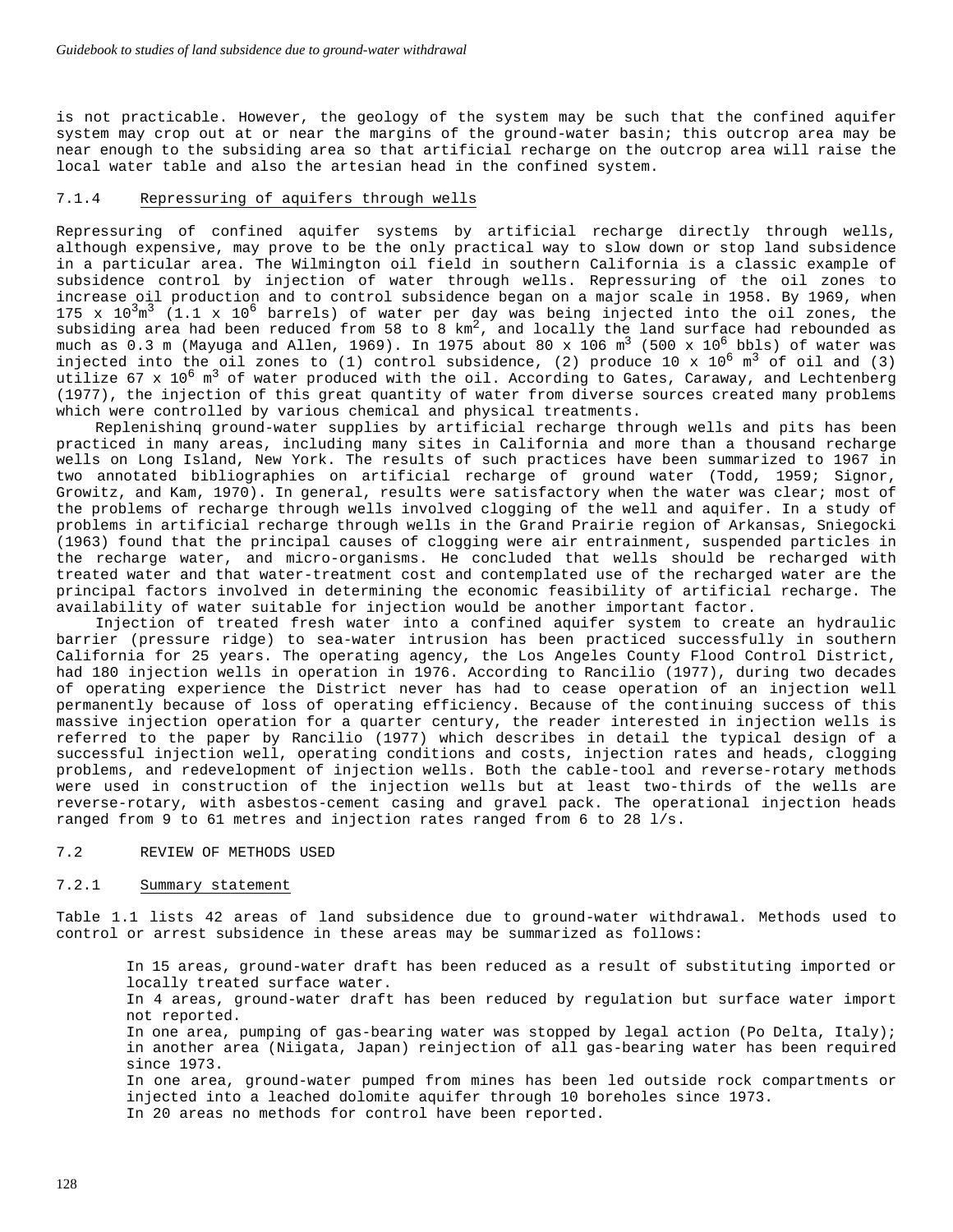is not practicable. However, the geology of the system may be such that the confined aquifer system may crop out at or near the margins of the ground-water basin; this outcrop area may be near enough to the subsiding area so that artificial recharge on the outcrop area will raise the local water table and also the artesian head in the confined system.

## 7.1.4 Repressuring of aquifers through wells

Repressuring of confined aquifer systems by artificial recharge directly through wells, although expensive, may prove to be the only practical way to slow down or stop land subsidence in a particular area. The Wilmington oil field in southern California is a classic example of subsidence control by injection of water through wells. Repressuring of the oil zones to increase oil production and to control subsidence began on a major scale in 1958. By 1969, when 175 x  $10^{3}$ m<sup>3</sup> (1.1 x 10<sup>6</sup> barrels) of water per day was being injected into the oil zones, the subsiding area had been reduced from 58 to 8  $km^2$ , and locally the land surface had rebounded as much as  $0.3$  m (Mayuga and Allen, 1969). In 1975 about 80 x 106 m<sup>3</sup> (500 x 10<sup>6</sup> bbls) of water was injected into the oil zones to (1) control subsidence, (2) produce 10 x  $10^6$  m<sup>3</sup> of oil and (3) utilize 67 x  $10^6$  m<sup>3</sup> of water produced with the oil. According to Gates, Caraway, and Lechtenberg (1977), the injection of this great quantity of water from diverse sources created many problems which were controlled by various chemical and physical treatments.

Replenishinq ground-water supplies by artificial recharge through wells and pits has been practiced in many areas, including many sites in California and more than a thousand recharge wells on Long Island, New York. The results of such practices have been summarized to 1967 in two annotated bibliographies on artificial recharge of ground water (Todd, 1959; Signor, Growitz, and Kam, 1970). In general, results were satisfactory when the water was clear; most of the problems of recharge through wells involved clogging of the well and aquifer. In a study of problems in artificial recharge through wells in the Grand Prairie region of Arkansas, Sniegocki (1963) found that the principal causes of clogging were air entrainment, suspended particles in the recharge water, and micro-organisms. He concluded that wells should be recharged with treated water and that water-treatment cost and contemplated use of the recharged water are the principal factors involved in determining the economic feasibility of artificial recharge. The availability of water suitable for injection would be another important factor.

Injection of treated fresh water into a confined aquifer system to create an hydraulic barrier (pressure ridge) to sea-water intrusion has been practiced successfully in southern California for 25 years. The operating agency, the Los Angeles County Flood Control District, had 180 injection wells in operation in 1976. According to Rancilio (1977), during two decades of operating experience the District never has had to cease operation of an injection well permanently because of loss of operating efficiency. Because of the continuing success of this massive injection operation for a quarter century, the reader interested in injection wells is referred to the paper by Rancilio (1977) which describes in detail the typical design of a successful injection well, operating conditions and costs, injection rates and heads, clogging problems, and redevelopment of injection wells. Both the cable-tool and reverse-rotary methods were used in construction of the injection wells but at least two-thirds of the wells are reverse-rotary, with asbestos-cement casing and gravel pack. The operational injection heads ranged from 9 to 61 metres and injection rates ranged from 6 to 28 l/s.

## 7.2 REVIEW OF METHODS USED

#### 7.2.1 Summary statement

Table 1.1 lists 42 areas of land subsidence due to ground-water withdrawal. Methods used to control or arrest subsidence in these areas may be summarized as follows:

In 15 areas, ground-water draft has been reduced as a result of substituting imported or locally treated surface water.

In 4 areas, ground-water draft has been reduced by regulation but surface water import not reported.

In one area, pumping of gas-bearing water was stopped by legal action (Po Delta, Italy); in another area (Niigata, Japan) reinjection of all gas-bearing water has been required since 1973.

In one area, ground-water pumped from mines has been led outside rock compartments or injected into a leached dolomite aquifer through 10 boreholes since 1973. In 20 areas no methods for control have been reported.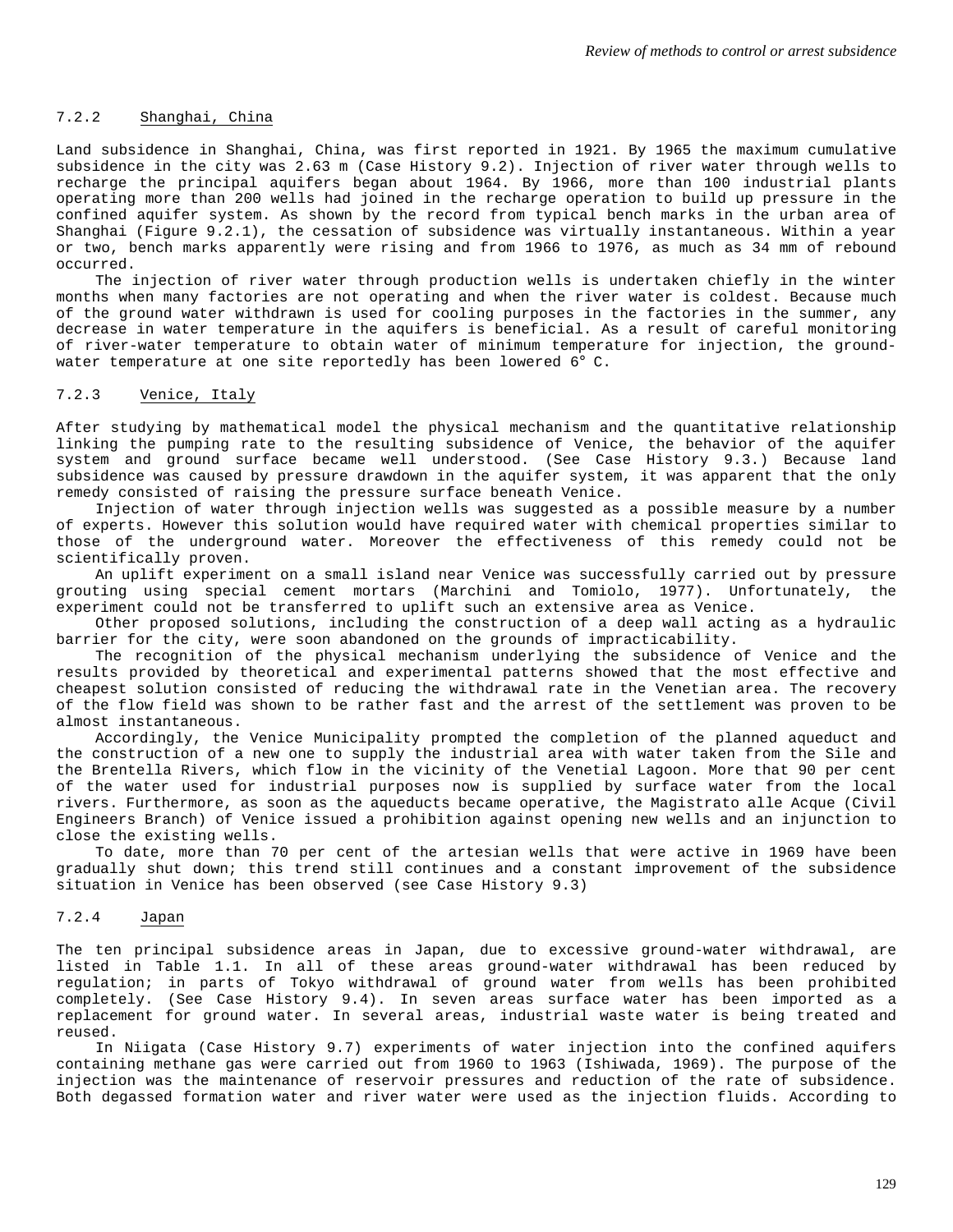#### 7.2.2 Shanghai, China

Land subsidence in Shanghai, China, was first reported in 1921. By 1965 the maximum cumulative subsidence in the city was 2.63 m (Case History 9.2). Injection of river water through wells to recharge the principal aquifers began about 1964. By 1966, more than 100 industrial plants operating more than 200 wells had joined in the recharge operation to build up pressure in the confined aquifer system. As shown by the record from typical bench marks in the urban area of Shanghai (Figure 9.2.1), the cessation of subsidence was virtually instantaneous. Within a year or two, bench marks apparently were rising and from 1966 to 1976, as much as 34 mm of rebound occurred.

The injection of river water through production wells is undertaken chiefly in the winter months when many factories are not operating and when the river water is coldest. Because much of the ground water withdrawn is used for cooling purposes in the factories in the summer, any decrease in water temperature in the aquifers is beneficial. As a result of careful monitoring of river-water temperature to obtain water of minimum temperature for injection, the groundwater temperature at one site reportedly has been lowered 6° C.

## 7.2.3 Venice, Italy

After studying by mathematical model the physical mechanism and the quantitative relationship linking the pumping rate to the resulting subsidence of Venice, the behavior of the aquifer system and ground surface became well understood. (See Case History 9.3.) Because land subsidence was caused by pressure drawdown in the aquifer system, it was apparent that the only remedy consisted of raising the pressure surface beneath Venice.

Injection of water through injection wells was suggested as a possible measure by a number of experts. However this solution would have required water with chemical properties similar to those of the underground water. Moreover the effectiveness of this remedy could not be scientifically proven.

An uplift experiment on a small island near Venice was successfully carried out by pressure grouting using special cement mortars (Marchini and Tomiolo, 1977). Unfortunately, the experiment could not be transferred to uplift such an extensive area as Venice.

Other proposed solutions, including the construction of a deep wall acting as a hydraulic barrier for the city, were soon abandoned on the grounds of impracticability.

The recognition of the physical mechanism underlying the subsidence of Venice and the results provided by theoretical and experimental patterns showed that the most effective and cheapest solution consisted of reducing the withdrawal rate in the Venetian area. The recovery of the flow field was shown to be rather fast and the arrest of the settlement was proven to be almost instantaneous.

Accordingly, the Venice Municipality prompted the completion of the planned aqueduct and the construction of a new one to supply the industrial area with water taken from the Sile and the Brentella Rivers, which flow in the vicinity of the Venetial Lagoon. More that 90 per cent of the water used for industrial purposes now is supplied by surface water from the local rivers. Furthermore, as soon as the aqueducts became operative, the Magistrato alle Acque (Civil Engineers Branch) of Venice issued a prohibition against opening new wells and an injunction to close the existing wells.

To date, more than 70 per cent of the artesian wells that were active in 1969 have been gradually shut down; this trend still continues and a constant improvement of the subsidence situation in Venice has been observed (see Case History 9.3)

## 7.2.4 Japan

The ten principal subsidence areas in Japan, due to excessive ground-water withdrawal, are listed in Table 1.1. In all of these areas ground-water withdrawal has been reduced by regulation; in parts of Tokyo withdrawal of ground water from wells has been prohibited completely. (See Case History 9.4). In seven areas surface water has been imported as a replacement for ground water. In several areas, industrial waste water is being treated and reused.

In Niigata (Case History 9.7) experiments of water injection into the confined aquifers containing methane gas were carried out from 1960 to 1963 (Ishiwada, 1969). The purpose of the injection was the maintenance of reservoir pressures and reduction of the rate of subsidence. Both degassed formation water and river water were used as the injection fluids. According to